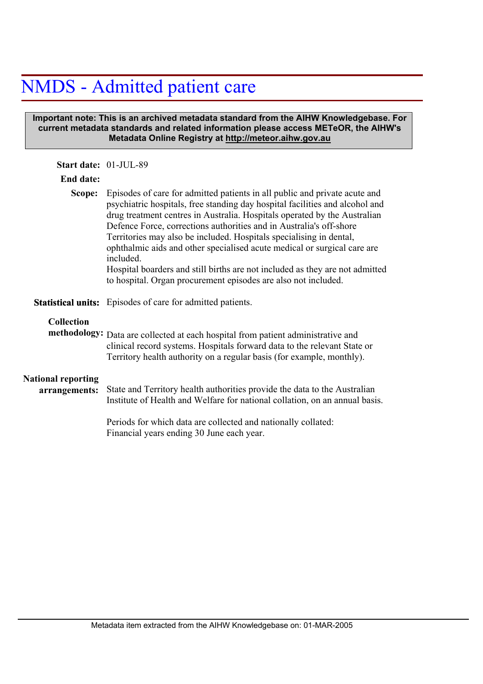## NMDS - Admitted patient care

## **Important note: This is an archived metadata standard from the AIHW Knowledgebase. For current metadata standards and related information please access METeOR, the AIHW's Metadata Online Registry at http://meteor.aihw.gov.au**

| Start date: 01-JUL-89                      |                                                                                                                                                                                                                                                                                                                                                                                                                                                                                                                                                                                                                                  |
|--------------------------------------------|----------------------------------------------------------------------------------------------------------------------------------------------------------------------------------------------------------------------------------------------------------------------------------------------------------------------------------------------------------------------------------------------------------------------------------------------------------------------------------------------------------------------------------------------------------------------------------------------------------------------------------|
| End date:                                  |                                                                                                                                                                                                                                                                                                                                                                                                                                                                                                                                                                                                                                  |
| Scope:                                     | Episodes of care for admitted patients in all public and private acute and<br>psychiatric hospitals, free standing day hospital facilities and alcohol and<br>drug treatment centres in Australia. Hospitals operated by the Australian<br>Defence Force, corrections authorities and in Australia's off-shore<br>Territories may also be included. Hospitals specialising in dental,<br>ophthalmic aids and other specialised acute medical or surgical care are<br>included.<br>Hospital boarders and still births are not included as they are not admitted<br>to hospital. Organ procurement episodes are also not included. |
|                                            | <b>Statistical units:</b> Episodes of care for admitted patients.                                                                                                                                                                                                                                                                                                                                                                                                                                                                                                                                                                |
| <b>Collection</b>                          | methodology: Data are collected at each hospital from patient administrative and<br>clinical record systems. Hospitals forward data to the relevant State or<br>Territory health authority on a regular basis (for example, monthly).                                                                                                                                                                                                                                                                                                                                                                                            |
| <b>National reporting</b><br>arrangements: | State and Territory health authorities provide the data to the Australian<br>Institute of Health and Welfare for national collation, on an annual basis.                                                                                                                                                                                                                                                                                                                                                                                                                                                                         |
|                                            | Periods for which data are collected and nationally collated:<br>Financial years ending 30 June each year.                                                                                                                                                                                                                                                                                                                                                                                                                                                                                                                       |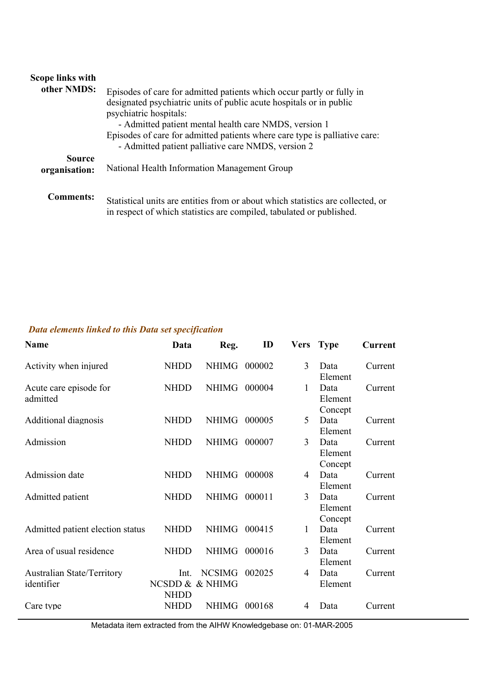| Scope links with<br>other NMDS: | Episodes of care for admitted patients which occur partly or fully in<br>designated psychiatric units of public acute hospitals or in public<br>psychiatric hospitals:<br>- Admitted patient mental health care NMDS, version 1 |
|---------------------------------|---------------------------------------------------------------------------------------------------------------------------------------------------------------------------------------------------------------------------------|
|                                 | Episodes of care for admitted patients where care type is palliative care:<br>- Admitted patient palliative care NMDS, version 2                                                                                                |
| <b>Source</b><br>organisation:  | National Health Information Management Group                                                                                                                                                                                    |
| <b>Comments:</b>                | Statistical units are entities from or about which statistics are collected, or<br>in respect of which statistics are compiled, tabulated or published.                                                                         |

## *Data elements linked to this Data set specification*

| Name                                            | Data                                   | Reg.          | ID     | Vers | <b>Type</b>                | Current |
|-------------------------------------------------|----------------------------------------|---------------|--------|------|----------------------------|---------|
| Activity when injured                           | <b>NHDD</b>                            | NHIMG 000002  |        | 3    | Data<br>Element            | Current |
| Acute care episode for<br>admitted              | <b>NHDD</b>                            | NHIMG         | 000004 | 1    | Data<br>Element<br>Concept | Current |
| Additional diagnosis                            | <b>NHDD</b>                            | <b>NHIMG</b>  | 000005 | 5    | Data<br>Element            | Current |
| Admission                                       | <b>NHDD</b>                            | <b>NHIMG</b>  | 000007 | 3    | Data<br>Element<br>Concept | Current |
| Admission date                                  | <b>NHDD</b>                            | <b>NHIMG</b>  | 000008 | 4    | Data<br>Element            | Current |
| Admitted patient                                | <b>NHDD</b>                            | NHIMG 000011  |        | 3    | Data<br>Element<br>Concept | Current |
| Admitted patient election status                | <b>NHDD</b>                            | <b>NHIMG</b>  | 000415 | 1    | Data<br>Element            | Current |
| Area of usual residence                         | <b>NHDD</b>                            | NHIMG 000016  |        | 3    | Data<br>Element            | Current |
| <b>Australian State/Territory</b><br>identifier | Int.<br>NCSDD & & NHIMG<br><b>NHDD</b> | <b>NCSIMG</b> | 002025 | 4    | Data<br>Element            | Current |
| Care type                                       | NHDD                                   | <b>NHIMG</b>  | 000168 | 4    | Data                       | Current |

Metadata item extracted from the AIHW Knowledgebase on: 01-MAR-2005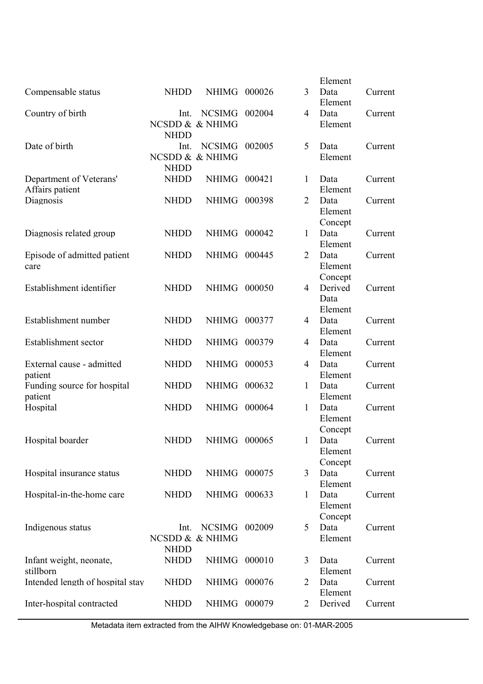|                                  |             |                 |        |                | Element |         |
|----------------------------------|-------------|-----------------|--------|----------------|---------|---------|
| Compensable status               | <b>NHDD</b> | NHIMG 000026    |        | 3              | Data    | Current |
|                                  |             |                 |        |                | Element |         |
| Country of birth                 | Int.        | <b>NCSIMG</b>   | 002004 | $\overline{4}$ | Data    | Current |
|                                  |             | NCSDD & & NHIMG |        |                | Element |         |
|                                  | <b>NHDD</b> |                 |        |                |         |         |
| Date of birth                    | Int.        | <b>NCSIMG</b>   | 002005 | 5              | Data    | Current |
|                                  |             | NCSDD & & NHIMG |        |                | Element |         |
|                                  | <b>NHDD</b> |                 |        |                |         |         |
| Department of Veterans'          | <b>NHDD</b> | <b>NHIMG</b>    | 000421 | 1              | Data    | Current |
| Affairs patient                  |             |                 |        |                | Element |         |
| Diagnosis                        | <b>NHDD</b> | NHIMG           | 000398 | 2              | Data    | Current |
|                                  |             |                 |        |                |         |         |
|                                  |             |                 |        |                | Element |         |
|                                  |             |                 |        |                | Concept |         |
| Diagnosis related group          | <b>NHDD</b> | NHIMG           | 000042 | 1              | Data    | Current |
|                                  |             |                 |        |                | Element |         |
| Episode of admitted patient      | <b>NHDD</b> | <b>NHIMG</b>    | 000445 | $\overline{2}$ | Data    | Current |
| care                             |             |                 |        |                | Element |         |
|                                  |             |                 |        |                | Concept |         |
| Establishment identifier         | <b>NHDD</b> | <b>NHIMG</b>    | 000050 | 4              | Derived | Current |
|                                  |             |                 |        |                | Data    |         |
|                                  |             |                 |        |                | Element |         |
| Establishment number             | <b>NHDD</b> | NHIMG 000377    |        | $\overline{4}$ | Data    | Current |
|                                  |             |                 |        |                | Element |         |
| Establishment sector             | <b>NHDD</b> | <b>NHIMG</b>    | 000379 | 4              | Data    | Current |
|                                  |             |                 |        |                | Element |         |
| External cause - admitted        | <b>NHDD</b> | <b>NHIMG</b>    | 000053 | 4              | Data    | Current |
| patient                          |             |                 |        |                | Element |         |
| Funding source for hospital      | <b>NHDD</b> | NHIMG           | 000632 | $\mathbf{1}$   | Data    | Current |
| patient                          |             |                 |        |                | Element |         |
| Hospital                         | <b>NHDD</b> | NHIMG           | 000064 | 1              | Data    | Current |
|                                  |             |                 |        |                | Element |         |
|                                  |             |                 |        |                |         |         |
|                                  |             |                 |        |                | Concept |         |
| Hospital boarder                 | <b>NHDD</b> | NHIMG 000065    |        | $1 \quad$      | Data    | Current |
|                                  |             |                 |        |                | Element |         |
|                                  |             |                 |        |                | Concept |         |
| Hospital insurance status        | <b>NHDD</b> | NHIMG 000075    |        | $\overline{3}$ | Data    | Current |
|                                  |             |                 |        |                | Element |         |
| Hospital-in-the-home care        | <b>NHDD</b> | NHIMG 000633    |        | $\mathbf{1}$   | Data    | Current |
|                                  |             |                 |        |                | Element |         |
|                                  |             |                 |        |                | Concept |         |
| Indigenous status                | Int.        | <b>NCSIMG</b>   | 002009 | 5              | Data    | Current |
|                                  |             | NCSDD & & NHIMG |        |                | Element |         |
|                                  | <b>NHDD</b> |                 |        |                |         |         |
| Infant weight, neonate,          | <b>NHDD</b> | NHIMG           | 000010 | 3              | Data    | Current |
| stillborn                        |             |                 |        |                | Element |         |
| Intended length of hospital stay | <b>NHDD</b> | <b>NHIMG</b>    | 000076 | 2              | Data    | Current |
|                                  |             |                 |        |                | Element |         |
| Inter-hospital contracted        | <b>NHDD</b> | NHIMG 000079    |        | 2              | Derived | Current |
|                                  |             |                 |        |                |         |         |

Metadata item extracted from the AIHW Knowledgebase on: 01-MAR-2005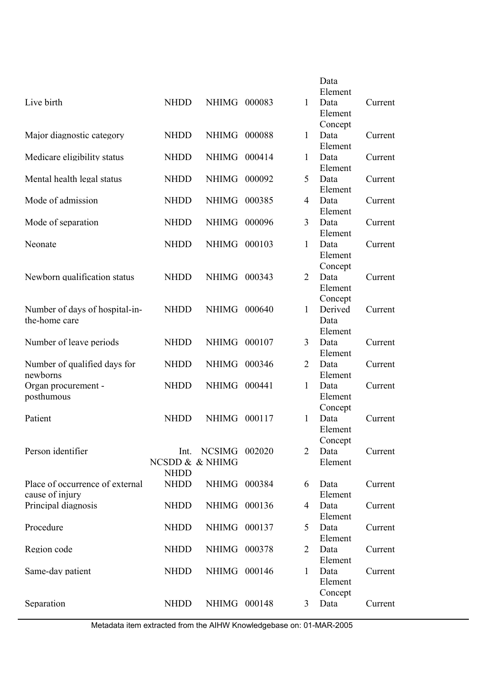|                                 |                 |                      |        |                | Data               |         |
|---------------------------------|-----------------|----------------------|--------|----------------|--------------------|---------|
|                                 |                 |                      |        |                | Element            |         |
| Live birth                      | <b>NHDD</b>     | <b>NHIMG</b>         | 000083 | $\mathbf{1}$   | Data               | Current |
|                                 |                 |                      |        |                | Element            |         |
|                                 |                 |                      |        |                | Concept            |         |
| Major diagnostic category       | <b>NHDD</b>     | <b>NHIMG</b>         | 000088 | 1              | Data               | Current |
| Medicare eligibility status     | <b>NHDD</b>     | <b>NHIMG</b>         | 000414 | $\mathbf{1}$   | Element<br>Data    | Current |
|                                 |                 |                      |        |                | Element            |         |
| Mental health legal status      | <b>NHDD</b>     | <b>NHIMG</b>         | 000092 | 5              | Data               | Current |
|                                 |                 |                      |        |                | Element            |         |
| Mode of admission               | <b>NHDD</b>     | <b>NHIMG</b>         | 000385 | 4              | Data               | Current |
|                                 |                 |                      |        |                | Element            |         |
| Mode of separation              | <b>NHDD</b>     | <b>NHIMG</b>         | 000096 | 3              | Data               | Current |
|                                 |                 |                      |        |                | Element            |         |
| Neonate                         | <b>NHDD</b>     | <b>NHIMG</b>         | 000103 | 1              | Data               | Current |
|                                 |                 |                      |        |                | Element            |         |
|                                 |                 |                      |        |                | Concept            |         |
| Newborn qualification status    | <b>NHDD</b>     | <b>NHIMG</b>         | 000343 | 2              | Data               | Current |
|                                 |                 |                      |        |                | Element            |         |
| Number of days of hospital-in-  | <b>NHDD</b>     | <b>NHIMG</b>         | 000640 | $\mathbf{1}$   | Concept<br>Derived | Current |
| the-home care                   |                 |                      |        |                | Data               |         |
|                                 |                 |                      |        |                | Element            |         |
| Number of leave periods         | <b>NHDD</b>     | <b>NHIMG</b>         | 000107 | 3              | Data               | Current |
|                                 |                 |                      |        |                | Element            |         |
| Number of qualified days for    | <b>NHDD</b>     | <b>NHIMG</b>         | 000346 | $\overline{2}$ | Data               | Current |
| newborns                        |                 |                      |        |                | Element            |         |
| Organ procurement -             | <b>NHDD</b>     | <b>NHIMG</b>         | 000441 | 1              | Data               | Current |
| posthumous                      |                 |                      |        |                | Element            |         |
|                                 |                 |                      |        |                | Concept            |         |
| Patient                         | <b>NHDD</b>     | <b>NHIMG</b>         | 000117 | $\mathbf{1}$   | Data<br>Element    | Current |
|                                 |                 |                      |        |                | Concept            |         |
| Person identifier               | Int.            | <b>NCSIMG 002020</b> |        | $\overline{2}$ | Data               | Current |
|                                 | NCSDD & & NHIMG |                      |        |                | Element            |         |
|                                 | <b>NHDD</b>     |                      |        |                |                    |         |
| Place of occurrence of external | <b>NHDD</b>     | NHIMG 000384         |        | 6              | Data               | Current |
| cause of injury                 |                 |                      |        |                | Element            |         |
| Principal diagnosis             | <b>NHDD</b>     | NHIMG 000136         |        | 4              | Data               | Current |
|                                 |                 |                      |        |                | Element            |         |
| Procedure                       | <b>NHDD</b>     | NHIMG 000137         |        | 5              | Data               | Current |
|                                 |                 |                      |        |                | Element            |         |
| Region code                     | <b>NHDD</b>     | NHIMG 000378         |        | $\overline{2}$ | Data               | Current |
| Same-day patient                | <b>NHDD</b>     | NHIMG 000146         |        | $\mathbf{1}$   | Element<br>Data    | Current |
|                                 |                 |                      |        |                | Element            |         |
|                                 |                 |                      |        |                | Concept            |         |
| Separation                      | <b>NHDD</b>     | NHIMG 000148         |        | 3              | Data               | Current |
|                                 |                 |                      |        |                |                    |         |

Metadata item extracted from the AIHW Knowledgebase on: 01-MAR-2005